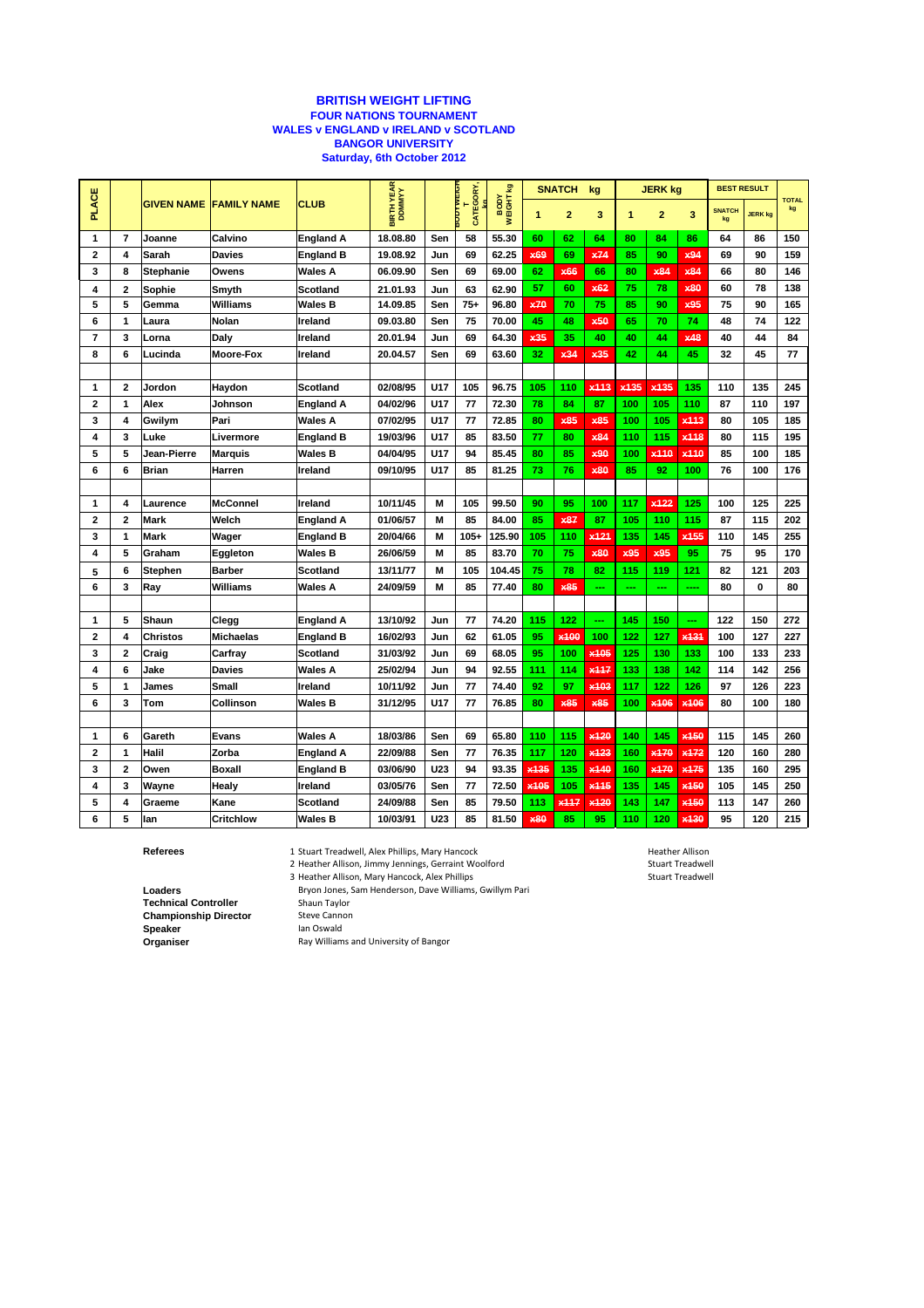## **BRITISH WEIGHT LIFTING FOUR NATIONS TOURNAMENT WALES v ENGLAND v IRELAND v SCOTLAND BANGOR UNIVERSITY Saturday, 6th October 2012**

|                         |                         | <b>GIVEN NAME</b>  | <b>FAMILY NAME</b> | <b>CLUB</b>      | BIRTH YEAR |            | <b>SUDTWEIGH</b><br>CATEGORY, | <b>y</b><br>NEIGHT | <b>SNATCH</b><br>kg |                  | <b>JERK kg</b>     |                  |                  | <b>BEST RESULT</b> |               |                |                    |
|-------------------------|-------------------------|--------------------|--------------------|------------------|------------|------------|-------------------------------|--------------------|---------------------|------------------|--------------------|------------------|------------------|--------------------|---------------|----------------|--------------------|
| <b>PLACE</b>            |                         |                    |                    |                  |            |            |                               |                    | 1                   | $\overline{2}$   | 3                  | 1                | $\overline{2}$   | 3                  | <b>SNATCH</b> | <b>JERK kg</b> | <b>TOTAL</b><br>kg |
| 1                       | $\overline{7}$          | Joanne             | Calvino            | <b>England A</b> | 18.08.80   | Sen        | 58                            | 55.30              | 60                  | 62               | 64                 | 80               | 84               | 86                 | 64            | 86             | 150                |
| 2                       | 4                       | Sarah              | <b>Davies</b>      | <b>England B</b> | 19.08.92   | Jun        | 69                            | 62.25              | x69                 | 69               | x74                | 85               | 90               | x94                | 69            | 90             | 159                |
| 3                       | 8                       | <b>Stephanie</b>   | Owens              | Wales A          | 06.09.90   | Sen        | 69                            | 69.00              | 62                  | x66              | 66                 | 80               | x84              | x84                | 66            | 80             | 146                |
| 4                       | $\overline{2}$          | Sophie             | Smyth              | Scotland         | 21.01.93   | Jun        | 63                            | 62.90              | 57                  | 60               | x62                | 75               | 78               | <b>x80</b>         | 60            | 78             | 138                |
| 5                       | 5                       | Gemma              | Williams           | Wales B          | 14.09.85   | Sen        | $75+$                         | 96.80              | x70                 | 70               | 75                 | 85               | 90               | x95                | 75            | 90             | 165                |
| 6                       | 1                       | Laura              | <b>Nolan</b>       | Ireland          | 09.03.80   | Sen        | 75                            | 70.00              | 45                  | 48               | x50                | 65               | 70               | 74                 | 48            | 74             | 122                |
| 7                       | 3                       | Lorna              | Daly               | Ireland          | 20.01.94   | Jun        | 69                            | 64.30              | x35                 | 35               | 40                 | 40               | 44               | x48                | 40            | 44             | 84                 |
| 8                       | 6                       | Lucinda            | <b>Moore-Fox</b>   | Ireland          | 20.04.57   | Sen        | 69                            | 63.60              | 32                  | x34              | x35                | 42               | 44               | 45                 | 32            | 45             | 77                 |
|                         |                         |                    |                    |                  |            |            |                               |                    |                     |                  |                    |                  |                  |                    |               |                |                    |
| 1                       | $\mathbf{2}$            | Jordon             | Haydon             | Scotland         | 02/08/95   | <b>U17</b> | 105                           | 96.75              | 105                 | 110              | x <sub>11</sub> 3  | x <sub>135</sub> | x <sub>135</sub> | 135                | 110           | 135            | 245                |
| $\overline{2}$          | 1                       | Alex               | Johnson            | England A        | 04/02/96   | U17        | 77                            | 72.30              | 78                  | 84               | 87                 | 100              | 105              | 110                | 87            | 110            | 197                |
| 3                       | 4                       | Gwilym             | Pari               | <b>Wales A</b>   | 07/02/95   | U17        | 77                            | 72.85              | 80                  | <b>x85</b>       | <b>x85</b>         | 100              | 105              | $x$ <sup>443</sup> | 80            | 105            | 185                |
| 4                       | 3                       | Luke               | Livermore          | <b>England B</b> | 19/03/96   | U17        | 85                            | 83.50              | 77                  | 80               | x84                | 110              | 115              | x118               | 80            | 115            | 195                |
| 5                       | 5                       | <b>Jean-Pierre</b> | <b>Marquis</b>     | Wales B          | 04/04/95   | U17        | 94                            | 85.45              | 80                  | 85               | x90                | 100              | x <sub>110</sub> | x <sub>110</sub>   | 85            | 100            | 185                |
| 6                       | 6                       | Brian              | Harren             | Ireland          | 09/10/95   | U17        | 85                            | 81.25              | 73                  | 76               | x80                | 85               | 92               | 100                | 76            | 100            | 176                |
|                         |                         |                    |                    |                  |            |            |                               |                    |                     |                  |                    |                  |                  |                    |               |                |                    |
| 1                       | 4                       | Laurence           | <b>McConnel</b>    | Ireland          | 10/11/45   | M          | 105                           | 99.50              | 90                  | 95               | 100                | 117              | x122             | 125                | 100           | 125            | 225                |
| 2                       | $\overline{2}$          | Mark               | Welch              | <b>England A</b> | 01/06/57   | M          | 85                            | 84.00              | 85                  | <b>x87</b>       | 87                 | 105              | 110              | 115                | 87            | 115            | 202                |
| 3                       | 1                       | <b>Mark</b>        | Wager              | England B        | 20/04/66   | M          | $105 +$                       | 125.90             | 105                 | 110              | x <sub>121</sub>   | 135              | 145              | x <sub>155</sub>   | 110           | 145            | 255                |
| 4                       | 5                       | Graham             | Eggleton           | Wales B          | 26/06/59   | M          | 85                            | 83.70              | 70                  | 75               | x80                | x95              | x95              | 95                 | 75            | 95             | 170                |
| 5                       | 6                       | Stephen            | <b>Barber</b>      | Scotland         | 13/11/77   | M          | 105                           | 104.45             | 75                  | 78               | 82                 | 115              | 119              | 121                | 82            | 121            | 203                |
| 6                       | 3                       | Ray                | <b>Williams</b>    | <b>Wales A</b>   | 24/09/59   | M          | 85                            | 77.40              | 80                  | <b>x85</b>       | ---                | ---              | <u></u>          | ----               | 80            | 0              | 80                 |
|                         |                         |                    |                    |                  |            |            |                               |                    |                     |                  |                    |                  |                  |                    |               |                |                    |
| 1                       | 5                       | Shaun              | Clegg              | England A        | 13/10/92   | Jun        | 77                            | 74.20              | 115                 | 122              |                    | 145              | 150              | ---                | 122           | 150            | 272                |
| $\overline{\mathbf{c}}$ | $\overline{\mathbf{4}}$ | <b>Christos</b>    | <b>Michaelas</b>   | England B        | 16/02/93   | Jun        | 62                            | 61.05              | 95                  | x100             | 100                | 122              | 127              | x <sub>131</sub>   | 100           | 127            | 227                |
| 3                       | $\mathbf{2}$            | Craig              | Carfray            | <b>Scotland</b>  | 31/03/92   | Jun        | 69                            | 68.05              | 95                  | 100              | x <sub>105</sub>   | 125              | 130              | 133                | 100           | 133            | 233                |
| 4                       | 6                       | Jake               | <b>Davies</b>      | Wales A          | 25/02/94   | Jun        | 94                            | 92.55              | 111                 | 114              | x <sub>117</sub>   | 133              | 138              | 142                | 114           | 142            | 256                |
| 5                       | 1                       | James              | Small              | Ireland          | 10/11/92   | Jun        | 77                            | 74.40              | 92                  | 97               | x <sub>103</sub>   | 117              | 122              | 126                | 97            | 126            | 223                |
| 6                       | 3                       | Tom                | Collinson          | Wales B          | 31/12/95   | U17        | 77                            | 76.85              | 80                  | x85              | x85                | 100              | x106             | x106               | 80            | 100            | 180                |
|                         |                         |                    |                    |                  |            |            |                               |                    |                     |                  |                    |                  |                  |                    |               |                |                    |
| $\mathbf{1}$            | 6                       | Gareth             | Evans              | Wales A          | 18/03/86   | Sen        | 69                            | 65.80              | 110                 | 115              | x420               | 140              | 145              | x450               | 115           | 145            | 260                |
| 2                       | 1                       | Halil              | Zorba              | England A        | 22/09/88   | Sen        | 77                            | 76.35              | 117                 | 120              | x123               | 160              | x <sub>170</sub> | x172               | 120           | 160            | 280                |
| 3                       | $\overline{2}$          | Owen               | <b>Boxall</b>      | <b>England B</b> | 03/06/90   | U23        | 94                            | 93.35              | x135                | 135              | x140               | 160              | x170             | x175               | 135           | 160            | 295                |
| 4                       | 3                       | Wayne              | Healy              | Ireland          | 03/05/76   | Sen        | 77                            | 72.50              | x <sub>105</sub>    | 105              | $x$ <sup>145</sup> | 135              | 145              | x <sub>150</sub>   | 105           | 145            | 250                |
| 5                       | 4                       | Graeme             | Kane               | Scotland         | 24/09/88   | Sen        | 85                            | 79.50              | 113                 | x <sub>117</sub> | x120               | 143              | 147              | x150               | 113           | 147            | 260                |
| 6                       | 5                       | lan                | <b>Critchlow</b>   | Wales B          | 10/03/91   | <b>U23</b> | 85                            | 81.50              | x80                 | 85               | 95                 | 110              | 120              | x130               | 95            | 120            | 215                |

**Referees** 1 Stuart Treadwell, Alex Phillips, Mary Hancock **Heather Allison** Heather Allison

2 Heather Allison, Jimmy Jennings, Gerraint Woolford Stuart Treadwell Stuart Treadwell

**Loaders** Bryon Jones, Sam Henderson, Dave Williams, Gwillym Pari<br> **Technical Controller** Shaun Taylor **Technical Controller** Shaun Taylor<br> **Championship Director** Steve Cannon **Championship Director**<br>Speaker **Speaker** Ian Oswald<br> **Organiser** Ray Williams

3 Heather Allison, Mary Hancock, Alex Phillips Stuart Treadwell Stuart Treadwell

**Organiser** Ray Williams and University of Bangor